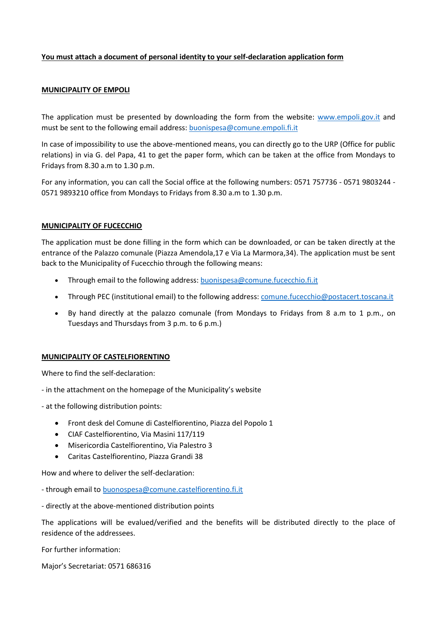# **You must attach a document of personal identity to your self-declaration application form**

### **MUNICIPALITY OF EMPOLI**

The application must be presented by downloading the form from the website: [www.empoli.gov.it](http://www.empoli.gov.it/) and must be sent to the following email address: [buonispesa@comune.empoli.fi.it](mailto:buonispesa@comune.empoli.fi.it)

In case of impossibility to use the above-mentioned means, you can directly go to the URP (Office for public relations) in via G. del Papa, 41 to get the paper form, which can be taken at the office from Mondays to Fridays from 8.30 a.m to 1.30 p.m.

For any information, you can call the Social office at the following numbers: 0571 757736 - 0571 9803244 - 0571 9893210 office from Mondays to Fridays from 8.30 a.m to 1.30 p.m.

#### **MUNICIPALITY OF FUCECCHIO**

The application must be done filling in the form which can be downloaded, or can be taken directly at the entrance of the Palazzo comunale (Piazza Amendola,17 e Via La Marmora,34). The application must be sent back to the Municipality of Fucecchio through the following means:

- Through email to the following address: [buonispesa@comune.fucecchio.fi.it](mailto:buonispesa@comune.fucecchio.fi.it)
- Through PEC (institutional email) to the following address: [comune.fucecchio@postacert.toscana.it](mailto:comune.fucecchio@postacert.toscana.it)
- By hand directly at the palazzo comunale (from Mondays to Fridays from 8 a.m to 1 p.m., on Tuesdays and Thursdays from 3 p.m. to 6 p.m.)

## **MUNICIPALITY OF CASTELFIORENTINO**

Where to find the self-declaration:

- in the attachment on the homepage of the Municipality's website

- at the following distribution points:

- Front desk del Comune di Castelfiorentino, Piazza del Popolo 1
- CIAF Castelfiorentino, Via Masini 117/119
- Misericordia Castelfiorentino, Via Palestro 3
- Caritas Castelfiorentino, Piazza Grandi 38

How and where to deliver the self-declaration:

- through email to [buonospesa@comune.castelfiorentino.fi.it](mailto:buonospesa@comune.castelfiorentino.fi.it)

- directly at the above-mentioned distribution points

The applications will be evalued/verified and the benefits will be distributed directly to the place of residence of the addressees.

For further information:

Major's Secretariat: 0571 686316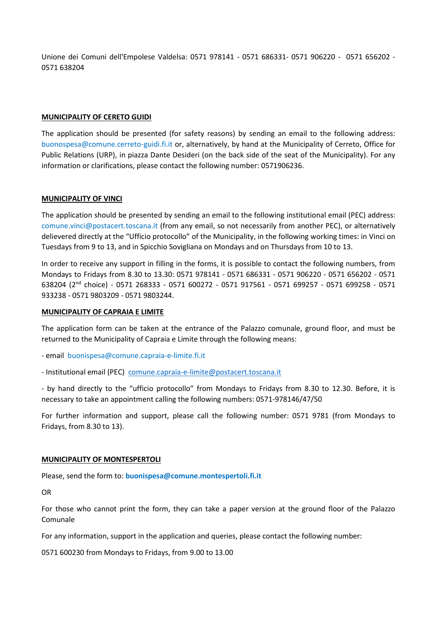Unione dei Comuni dell'Empolese Valdelsa: 0571 978141 - 0571 686331- 0571 906220 - 0571 656202 - 0571 638204

### **MUNICIPALITY OF CERETO GUIDI**

The application should be presented (for safety reasons) by sending an email to the following address: buonospesa@comune.cerreto-guidi.fi.it or, alternatively, by hand at the Municipality of Cerreto, Office for Public Relations (URP), in piazza Dante Desideri (on the back side of the seat of the Municipality). For any information or clarifications, please contact the following number: 0571906236.

#### **MUNICIPALITY OF VINCI**

The application should be presented by sending an email to the following institutional email (PEC) address: comune.vinci@postacert.toscana.it (from any email, so not necessarily from another PEC), or alternatively delievered directly at the "Ufficio protocollo" of the Municipality, in the following working times: in Vinci on Tuesdays from 9 to 13, and in Spicchio Sovigliana on Mondays and on Thursdays from 10 to 13.

In order to receive any support in filling in the forms, it is possible to contact the following numbers, from Mondays to Fridays from 8.30 to 13.30: 0571 978141 - 0571 686331 - 0571 906220 - 0571 656202 - 0571 638204 (2 nd choice) - 0571 268333 - 0571 600272 - 0571 917561 - 0571 699257 - 0571 699258 - 0571 933238 - 0571 9803209 - 0571 9803244.

#### **MUNICIPALITY OF CAPRAIA E LIMITE**

The application form can be taken at the entrance of the Palazzo comunale, ground floor, and must be returned to the Municipality of Capraia e Limite through the following means:

- email buonispesa@comune.capraia-e-limite.fi.it

- Institutional email (PEC) [comune.capraia-e-limite@postacert.toscana.it](mailto:comune.capraia-e-limite@postacert.toscana.it)

- by hand directly to the "ufficio protocollo" from Mondays to Fridays from 8.30 to 12.30. Before, it is necessary to take an appointment calling the following numbers: 0571-978146/47/50

For further information and support, please call the following number: 0571 9781 (from Mondays to Fridays, from 8.30 to 13).

#### **MUNICIPALITY OF MONTESPERTOLI**

Please, send the form to: **buonispesa@comune.montespertoli.fi.it** 

OR

For those who cannot print the form, they can take a paper version at the ground floor of the Palazzo Comunale

For any information, support in the application and queries, please contact the following number:

0571 600230 from Mondays to Fridays, from 9.00 to 13.00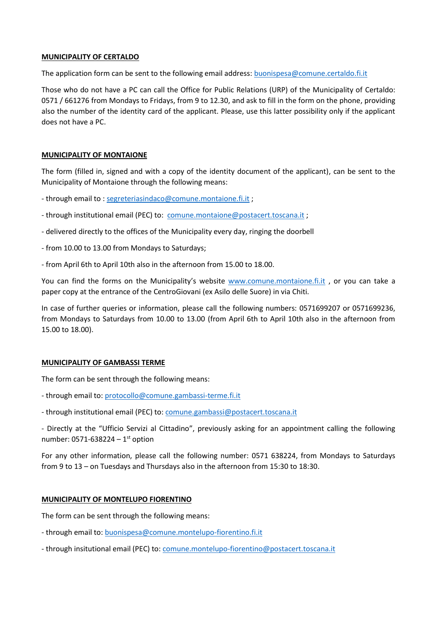## **MUNICIPALITY OF CERTALDO**

The application form can be sent to the following email address: [buonispesa@comune.certaldo.fi.it](mailto:buonispesa@comune.certaldo.fi.it)

Those who do not have a PC can call the Office for Public Relations (URP) of the Municipality of Certaldo: 0571 / 661276 from Mondays to Fridays, from 9 to 12.30, and ask to fill in the form on the phone, providing also the number of the identity card of the applicant. Please, use this latter possibility only if the applicant does not have a PC.

## **MUNICIPALITY OF MONTAIONE**

The form (filled in, signed and with a copy of the identity document of the applicant), can be sent to the Municipality of Montaione through the following means:

- through email to : [segreteriasindaco@comune.montaione.fi.it](mailto:segreteriasindaco@comune.montaione.fi.it) ;
- through institutional email (PEC) to: [comune.montaione@postacert.toscana.it](mailto:comune.montaione@postacert.toscana.it);
- delivered directly to the offices of the Municipality every day, ringing the doorbell
- from 10.00 to 13.00 from Mondays to Saturdays;
- from April 6th to April 10th also in the afternoon from 15.00 to 18.00.

You can find the forms on the Municipality's website [www.comune.montaione.fi.it](http://www.comune.montaione.fi.it/), or you can take a paper copy at the entrance of the CentroGiovani (ex Asilo delle Suore) in via Chiti.

In case of further queries or information, please call the following numbers: 0571699207 or 0571699236, from Mondays to Saturdays from 10.00 to 13.00 (from April 6th to April 10th also in the afternoon from 15.00 to 18.00).

### **MUNICIPALITY OF GAMBASSI TERME**

The form can be sent through the following means:

- through email to: [protocollo@comune.gambassi-terme.fi.it](mailto:protocollo@comune.gambassi-terme.fi.it)
- through institutional email (PEC) to: [comune.gambassi@postacert.toscana.it](mailto:comune.gambassi@postacert.toscana.it)
- Directly at the "Ufficio Servizi al Cittadino", previously asking for an appointment calling the following number: 0571-638224 - 1<sup>st</sup> option

For any other information, please call the following number: 0571 638224, from Mondays to Saturdays from 9 to 13 – on Tuesdays and Thursdays also in the afternoon from 15:30 to 18:30.

### **MUNICIPALITY OF MONTELUPO FIORENTINO**

The form can be sent through the following means:

- through email to: [buonispesa@comune.montelupo-fiorentino.fi.it](mailto:buonispesa@comune.montelupo-fiorentino.fi.it)
- through insitutional email (PEC) to: [comune.montelupo-fiorentino@postacert.toscana.it](mailto:comune.montelupo-fiorentino@postacert.toscana.it)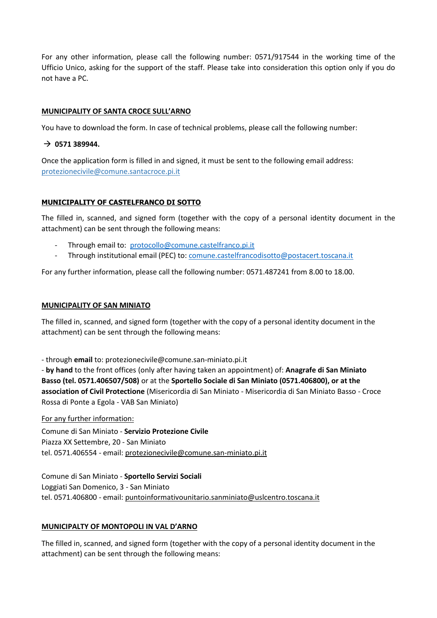For any other information, please call the following number: 0571/917544 in the working time of the Ufficio Unico, asking for the support of the staff. Please take into consideration this option only if you do not have a PC.

## **MUNICIPALITY OF SANTA CROCE SULL'ARNO**

You have to download the form. In case of technical problems, please call the following number:

## $\rightarrow$  0571 389944.

Once the application form is filled in and signed, it must be sent to the following email address: [protezionecivile@comune.santacroce.pi.it](mailto:protezionecivile@comune.santacroce.pi.it)

## **MUNICIPALITY OF CASTELFRANCO DI SOTTO**

The filled in, scanned, and signed form (together with the copy of a personal identity document in the attachment) can be sent through the following means:

- Through email to: [protocollo@comune.castelfranco.pi.it](mailto:protocollo@comune.castelfranco.pi.it)
- Through institutional email (PEC) to: [comune.castelfrancodisotto@postacert.toscana.it](mailto:comune.castelfrancodisotto@postacert.toscana.it)

For any further information, please call the following number: 0571.487241 from 8.00 to 18.00.

### **MUNICIPALITY OF SAN MINIATO**

The filled in, scanned, and signed form (together with the copy of a personal identity document in the attachment) can be sent through the following means:

- through **email** to: [protezionecivile@comune.san-miniato.pi.it](mailto:protezionecivile@comune.san-miniato.pi.it)

- **by hand** to the front offices (only after having taken an appointment) of: **[Anagrafe di San Miniato](https://www.comune.san-miniato.pi.it/servizi/settore-1-affari-istituzionali-e-legali/servizi-demografici.html)  [Basso](https://www.comune.san-miniato.pi.it/servizi/settore-1-affari-istituzionali-e-legali/servizi-demografici.html) (tel. 0571.406507/508)** or at the **[Sportello Sociale di San Miniato](https://www.comune.san-miniato.pi.it/servizi/sportelli-multiente/servizi-sociali-societ%C3%A0-della-salute-del-valdarno-inferiore.html) (0571.406800), or at the association of Civil Protectione** [\(Misericordia di San Miniato](https://www.misericordiasanminiato.it/) - [Misericordia di San Miniato Basso](https://www.misericordiasanminiatobasso.org/) - [Croce](https://gaia.cri.it/informazioni/sedi/toscana-ponte-a-egola/?embed=True)  [Rossa di Ponte a Egola](https://gaia.cri.it/informazioni/sedi/toscana-ponte-a-egola/?embed=True) - [VAB San Miniato\)](http://vab.vabsanminiato.org/)

For any further information:

Comune di San Miniato - **Servizio Protezione Civile** Piazza XX Settembre, 20 - San Miniato tel. 0571.406554 - email: [protezionecivile@comune.san-miniato.pi.it](mailto:protezionecivile@comune.san-miniato.pi.it)

Comune di San Miniato - **Sportello Servizi Sociali** Loggiati San Domenico, 3 - San Miniato tel. 0571.406800 - email: [puntoinformativounitario.sanminiato@uslcentro.toscana.it](mailto:puntoinformativounitario.sanminiato@uslcentro.toscana.it)

# **MUNICIPALTY OF MONTOPOLI IN VAL D'ARNO**

The filled in, scanned, and signed form (together with the copy of a personal identity document in the attachment) can be sent through the following means: